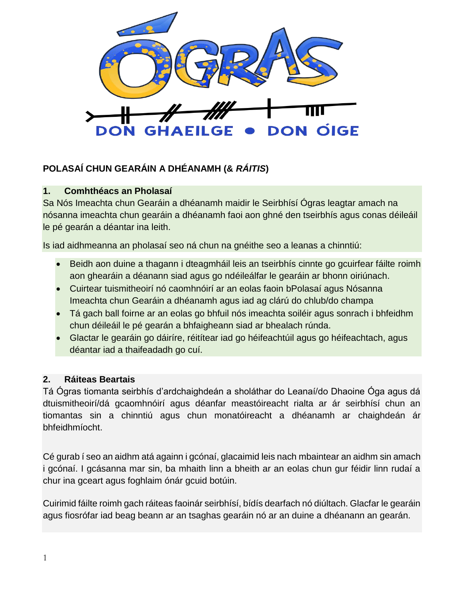

# **POLASAÍ CHUN GEARÁIN A DHÉANAMH (&** *RÁITIS***)**

#### **1. Comhthéacs an Pholasaí**

Sa Nós Imeachta chun Gearáin a dhéanamh maidir le Seirbhísí Ógras leagtar amach na nósanna imeachta chun gearáin a dhéanamh faoi aon ghné den tseirbhís agus conas déileáil le pé gearán a déantar ina leith.

Is iad aidhmeanna an pholasaí seo ná chun na gnéithe seo a leanas a chinntiú:

- Beidh aon duine a thagann i dteagmháil leis an tseirbhís cinnte go gcuirfear fáilte roimh aon ghearáin a déanann siad agus go ndéileálfar le gearáin ar bhonn oiriúnach.
- Cuirtear tuismitheoirí nó caomhnóirí ar an eolas faoin bPolasaí agus Nósanna Imeachta chun Gearáin a dhéanamh agus iad ag clárú do chlub/do champa
- Tá gach ball foirne ar an eolas go bhfuil nós imeachta soiléir agus sonrach i bhfeidhm chun déileáil le pé gearán a bhfaigheann siad ar bhealach rúnda.
- Glactar le gearáin go dáiríre, réitítear iad go héifeachtúil agus go héifeachtach, agus déantar iad a thaifeadadh go cuí.

#### **2. Ráiteas Beartais**

Tá Ógras tiomanta seirbhís d'ardchaighdeán a sholáthar do Leanaí/do Dhaoine Óga agus dá dtuismitheoirí/dá gcaomhnóirí agus déanfar meastóireacht rialta ar ár seirbhísí chun an tiomantas sin a chinntiú agus chun monatóireacht a dhéanamh ar chaighdeán ár bhfeidhmíocht.

Cé gurab í seo an aidhm atá againn i gcónaí, glacaimid leis nach mbaintear an aidhm sin amach i gcónaí. I gcásanna mar sin, ba mhaith linn a bheith ar an eolas chun gur féidir linn rudaí a chur ina gceart agus foghlaim ónár gcuid botúin.

Cuirimid fáilte roimh gach ráiteas faoinár seirbhísí, bídís dearfach nó diúltach. Glacfar le gearáin agus fiosrófar iad beag beann ar an tsaghas gearáin nó ar an duine a dhéanann an gearán.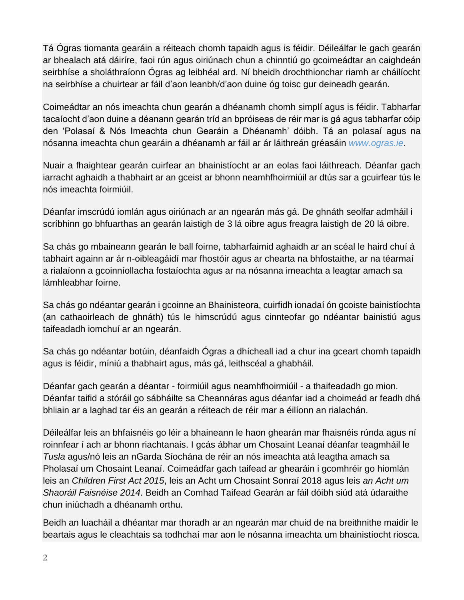Tá Ógras tiomanta gearáin a réiteach chomh tapaidh agus is féidir. Déileálfar le gach gearán ar bhealach atá dáiríre, faoi rún agus oiriúnach chun a chinntiú go gcoimeádtar an caighdeán seirbhíse a sholáthraíonn Ógras ag leibhéal ard. Ní bheidh drochthionchar riamh ar cháilíocht na seirbhíse a chuirtear ar fáil d'aon leanbh/d'aon duine óg toisc gur deineadh gearán.

Coimeádtar an nós imeachta chun gearán a dhéanamh chomh simplí agus is féidir. Tabharfar tacaíocht d'aon duine a déanann gearán tríd an bpróiseas de réir mar is gá agus tabharfar cóip den 'Polasaí & Nós Imeachta chun Gearáin a Dhéanamh' dóibh. Tá an polasaí agus na nósanna imeachta chun gearáin a dhéanamh ar fáil ar ár láithreán gréasáin *[www.ogras.ie](http://www.ogras.ie/)*.

Nuair a fhaightear gearán cuirfear an bhainistíocht ar an eolas faoi láithreach. Déanfar gach iarracht aghaidh a thabhairt ar an gceist ar bhonn neamhfhoirmiúil ar dtús sar a gcuirfear tús le nós imeachta foirmiúil.

Déanfar imscrúdú iomlán agus oiriúnach ar an ngearán más gá. De ghnáth seolfar admháil i scríbhinn go bhfuarthas an gearán laistigh de 3 lá oibre agus freagra laistigh de 20 lá oibre.

Sa chás go mbaineann gearán le ball foirne, tabharfaimid aghaidh ar an scéal le haird chuí á tabhairt againn ar ár n-oibleagáidí mar fhostóir agus ar chearta na bhfostaithe, ar na téarmaí a rialaíonn a gcoinníollacha fostaíochta agus ar na nósanna imeachta a leagtar amach sa lámhleabhar foirne.

Sa chás go ndéantar gearán i gcoinne an Bhainisteora, cuirfidh ionadaí ón gcoiste bainistíochta (an cathaoirleach de ghnáth) tús le himscrúdú agus cinnteofar go ndéantar bainistiú agus taifeadadh iomchuí ar an ngearán.

Sa chás go ndéantar botúin, déanfaidh Ógras a dhícheall iad a chur ina gceart chomh tapaidh agus is féidir, míniú a thabhairt agus, más gá, leithscéal a ghabháil.

Déanfar gach gearán a déantar - foirmiúil agus neamhfhoirmiúil - a thaifeadadh go mion. Déanfar taifid a stóráil go sábháilte sa Cheannáras agus déanfar iad a choimeád ar feadh dhá bhliain ar a laghad tar éis an gearán a réiteach de réir mar a éilíonn an rialachán.

Déileálfar leis an bhfaisnéis go léir a bhaineann le haon ghearán mar fhaisnéis rúnda agus ní roinnfear í ach ar bhonn riachtanais. I gcás ábhar um Chosaint Leanaí déanfar teagmháil le *Tusla* agus/nó leis an nGarda Síochána de réir an nós imeachta atá leagtha amach sa Pholasaí um Chosaint Leanaí. Coimeádfar gach taifead ar ghearáin i gcomhréir go hiomlán leis an *Children First Act 2015*, leis an Acht um Chosaint Sonraí 2018 agus leis *an Acht um Shaoráil Faisnéise 2014*. Beidh an Comhad Taifead Gearán ar fáil dóibh siúd atá údaraithe chun iniúchadh a dhéanamh orthu.

Beidh an luacháil a dhéantar mar thoradh ar an ngearán mar chuid de na breithnithe maidir le beartais agus le cleachtais sa todhchaí mar aon le nósanna imeachta um bhainistíocht riosca.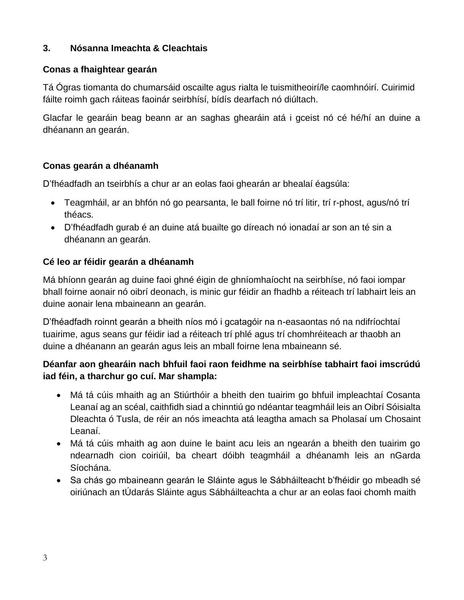### **3. Nósanna Imeachta & Cleachtais**

### **Conas a fhaightear gearán**

Tá Ógras tiomanta do chumarsáid oscailte agus rialta le tuismitheoirí/le caomhnóirí. Cuirimid fáilte roimh gach ráiteas faoinár seirbhísí, bídís dearfach nó diúltach.

Glacfar le gearáin beag beann ar an saghas ghearáin atá i gceist nó cé hé/hí an duine a dhéanann an gearán.

### **Conas gearán a dhéanamh**

D'fhéadfadh an tseirbhís a chur ar an eolas faoi ghearán ar bhealaí éagsúla:

- Teagmháil, ar an bhfón nó go pearsanta, le ball foirne nó trí litir, trí r-phost, agus/nó trí théacs.
- D'fhéadfadh gurab é an duine atá buailte go díreach nó ionadaí ar son an té sin a dhéanann an gearán.

# **Cé leo ar féidir gearán a dhéanamh**

Má bhíonn gearán ag duine faoi ghné éigin de ghníomhaíocht na seirbhíse, nó faoi iompar bhall foirne aonair nó oibrí deonach, is minic gur féidir an fhadhb a réiteach trí labhairt leis an duine aonair lena mbaineann an gearán.

D'fhéadfadh roinnt gearán a bheith níos mó i gcatagóir na n-easaontas nó na ndifríochtaí tuairime, agus seans gur féidir iad a réiteach trí phlé agus trí chomhréiteach ar thaobh an duine a dhéanann an gearán agus leis an mball foirne lena mbaineann sé.

# **Déanfar aon ghearáin nach bhfuil faoi raon feidhme na seirbhíse tabhairt faoi imscrúdú iad féin, a tharchur go cuí. Mar shampla:**

- Má tá cúis mhaith ag an Stiúrthóir a bheith den tuairim go bhfuil impleachtaí Cosanta Leanaí ag an scéal, caithfidh siad a chinntiú go ndéantar teagmháil leis an Oibrí Sóisialta Dleachta ó Tusla, de réir an nós imeachta atá leagtha amach sa Pholasaí um Chosaint Leanaí.
- Má tá cúis mhaith ag aon duine le baint acu leis an ngearán a bheith den tuairim go ndearnadh cion coiriúil, ba cheart dóibh teagmháil a dhéanamh leis an nGarda Síochána.
- Sa chás go mbaineann gearán le Sláinte agus le Sábháilteacht b'fhéidir go mbeadh sé oiriúnach an tÚdarás Sláinte agus Sábháilteachta a chur ar an eolas faoi chomh maith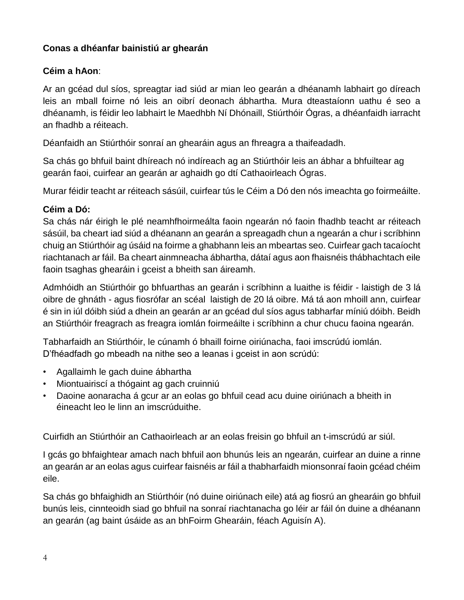### **Conas a dhéanfar bainistiú ar ghearán**

### **Céim a hAon**:

Ar an gcéad dul síos, spreagtar iad siúd ar mian leo gearán a dhéanamh labhairt go díreach leis an mball foirne nó leis an oibrí deonach ábhartha. Mura dteastaíonn uathu é seo a dhéanamh, is féidir leo labhairt le Maedhbh Ní Dhónaill, Stiúrthóir Ógras, a dhéanfaidh iarracht an fhadhb a réiteach.

Déanfaidh an Stiúrthóir sonraí an ghearáin agus an fhreagra a thaifeadadh.

Sa chás go bhfuil baint dhíreach nó indíreach ag an Stiúrthóir leis an ábhar a bhfuiltear ag gearán faoi, cuirfear an gearán ar aghaidh go dtí Cathaoirleach Ógras.

Murar féidir teacht ar réiteach sásúil, cuirfear tús le Céim a Dó den nós imeachta go foirmeáilte.

### **Céim a Dó:**

Sa chás nár éirigh le plé neamhfhoirmeálta faoin ngearán nó faoin fhadhb teacht ar réiteach sásúil, ba cheart iad siúd a dhéanann an gearán a spreagadh chun a ngearán a chur i scríbhinn chuig an Stiúrthóir ag úsáid na foirme a ghabhann leis an mbeartas seo. Cuirfear gach tacaíocht riachtanach ar fáil. Ba cheart ainmneacha ábhartha, dátaí agus aon fhaisnéis thábhachtach eile faoin tsaghas ghearáin i gceist a bheith san áireamh.

Admhóidh an Stiúrthóir go bhfuarthas an gearán i scríbhinn a luaithe is féidir - laistigh de 3 lá oibre de ghnáth - agus fiosrófar an scéal laistigh de 20 lá oibre. Má tá aon mhoill ann, cuirfear é sin in iúl dóibh siúd a dhein an gearán ar an gcéad dul síos agus tabharfar míniú dóibh. Beidh an Stiúrthóir freagrach as freagra iomlán foirmeáilte i scríbhinn a chur chucu faoina ngearán.

Tabharfaidh an Stiúrthóir, le cúnamh ó bhaill foirne oiriúnacha, faoi imscrúdú iomlán. D'fhéadfadh go mbeadh na nithe seo a leanas i gceist in aon scrúdú:

- Agallaimh le gach duine ábhartha
- Miontuairiscí a thógaint ag gach cruinniú
- Daoine aonaracha á gcur ar an eolas go bhfuil cead acu duine oiriúnach a bheith in éineacht leo le linn an imscrúduithe.

Cuirfidh an Stiúrthóir an Cathaoirleach ar an eolas freisin go bhfuil an t-imscrúdú ar siúl.

I gcás go bhfaightear amach nach bhfuil aon bhunús leis an ngearán, cuirfear an duine a rinne an gearán ar an eolas agus cuirfear faisnéis ar fáil a thabharfaidh mionsonraí faoin gcéad chéim eile.

Sa chás go bhfaighidh an Stiúrthóir (nó duine oiriúnach eile) atá ag fiosrú an ghearáin go bhfuil bunús leis, cinnteoidh siad go bhfuil na sonraí riachtanacha go léir ar fáil ón duine a dhéanann an gearán (ag baint úsáide as an bhFoirm Ghearáin, féach Aguisín A).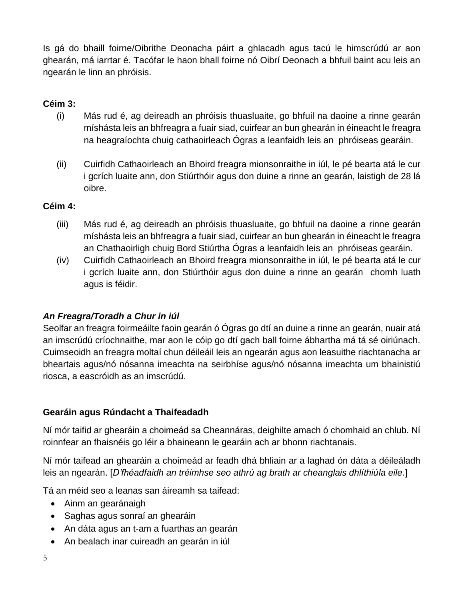Is gá do bhaill foirne/Oibrithe Deonacha páirt a ghlacadh agus tacú le himscrúdú ar aon ghearán, má iarrtar é. Tacófar le haon bhall foirne nó Oibrí Deonach a bhfuil baint acu leis an ngearán le linn an phróisis.

#### **Céim 3:**

- (i) Más rud é, ag deireadh an phróisis thuasluaite, go bhfuil na daoine a rinne gearán míshásta leis an bhfreagra a fuair siad, cuirfear an bun ghearán in éineacht le freagra na heagraíochta chuig cathaoirleach Ógras a leanfaidh leis an phróiseas gearáin.
- (ii) Cuirfidh Cathaoirleach an Bhoird freagra mionsonraithe in iúl, le pé bearta atá le cur i gcrích luaite ann, don Stiúrthóir agus don duine a rinne an gearán, laistigh de 28 lá oibre.

### **Céim 4:**

- (iii) Más rud é, ag deireadh an phróisis thuasluaite, go bhfuil na daoine a rinne gearán míshásta leis an bhfreagra a fuair siad, cuirfear an bun ghearán in éineacht le freagra an Chathaoirligh chuig Bord Stiúrtha Ógras a leanfaidh leis an phróiseas gearáin.
- (iv) Cuirfidh Cathaoirleach an Bhoird freagra mionsonraithe in iúl, le pé bearta atá le cur i gcrích luaite ann, don Stiúrthóir agus don duine a rinne an gearán chomh luath agus is féidir.

# *An Freagra/Toradh a Chur in iúl*

Seolfar an freagra foirmeáilte faoin gearán ó Ógras go dtí an duine a rinne an gearán, nuair atá an imscrúdú críochnaithe, mar aon le cóip go dtí gach ball foirne ábhartha má tá sé oiriúnach. Cuimseoidh an freagra moltaí chun déileáil leis an ngearán agus aon leasuithe riachtanacha ar bheartais agus/nó nósanna imeachta na seirbhíse agus/nó nósanna imeachta um bhainistiú riosca, a eascróidh as an imscrúdú.

# **Gearáin agus Rúndacht a Thaifeadadh**

Ní mór taifid ar ghearáin a choimeád sa Cheannáras, deighilte amach ó chomhaid an chlub. Ní roinnfear an fhaisnéis go léir a bhaineann le gearáin ach ar bhonn riachtanais.

Ní mór taifead an ghearáin a choimeád ar feadh dhá bhliain ar a laghad ón dáta a déileáladh leis an ngearán. [*D'fhéadfaidh an tréimhse seo athrú ag brath ar cheanglais dhlíthiúla eile.*]

Tá an méid seo a leanas san áireamh sa taifead:

- Ainm an gearánaigh
- Saghas agus sonraí an ghearáin
- An dáta agus an t-am a fuarthas an gearán
- An bealach inar cuireadh an gearán in iúl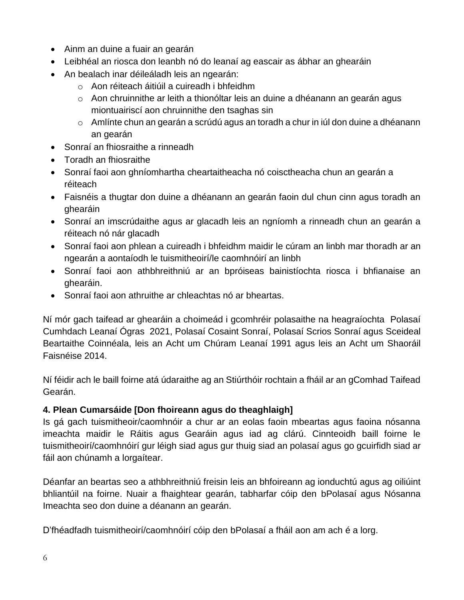- Ainm an duine a fuair an gearán
- Leibhéal an riosca don leanbh nó do leanaí ag eascair as ábhar an ghearáin
- An bealach inar déileáladh leis an ngearán:
	- o Aon réiteach áitiúil a cuireadh i bhfeidhm
	- $\circ$  Aon chruinnithe ar leith a thionóltar leis an duine a dhéanann an gearán agus miontuairiscí aon chruinnithe den tsaghas sin
	- o Amlínte chun an gearán a scrúdú agus an toradh a chur in iúl don duine a dhéanann an gearán
- Sonraí an fhiosraithe a rinneadh
- Toradh an fhiosraithe
- Sonraí faoi aon ghníomhartha cheartaitheacha nó coisctheacha chun an gearán a réiteach
- Faisnéis a thugtar don duine a dhéanann an gearán faoin dul chun cinn agus toradh an ghearáin
- Sonraí an imscrúdaithe agus ar glacadh leis an ngníomh a rinneadh chun an gearán a réiteach nó nár glacadh
- Sonraí faoi aon phlean a cuireadh i bhfeidhm maidir le cúram an linbh mar thoradh ar an ngearán a aontaíodh le tuismitheoirí/le caomhnóirí an linbh
- Sonraí faoi aon athbhreithniú ar an bpróiseas bainistíochta riosca i bhfianaise an ghearáin.
- Sonraí faoi aon athruithe ar chleachtas nó ar bheartas.

Ní mór gach taifead ar ghearáin a choimeád i gcomhréir polasaithe na heagraíochta Polasaí Cumhdach Leanaí Ógras 2021, Polasaí Cosaint Sonraí, Polasaí Scrios Sonraí agus Sceideal Beartaithe Coinnéala, leis an Acht um Chúram Leanaí 1991 agus leis an Acht um Shaoráil Faisnéise 2014.

Ní féidir ach le baill foirne atá údaraithe ag an Stiúrthóir rochtain a fháil ar an gComhad Taifead Gearán.

# **4. Plean Cumarsáide [Don fhoireann agus do theaghlaigh]**

Is gá gach tuismitheoir/caomhnóir a chur ar an eolas faoin mbeartas agus faoina nósanna imeachta maidir le Ráitis agus Gearáin agus iad ag clárú. Cinnteoidh baill foirne le tuismitheoirí/caomhnóirí gur léigh siad agus gur thuig siad an polasaí agus go gcuirfidh siad ar fáil aon chúnamh a lorgaítear.

Déanfar an beartas seo a athbhreithniú freisin leis an bhfoireann ag ionduchtú agus ag oiliúint bhliantúil na foirne. Nuair a fhaightear gearán, tabharfar cóip den bPolasaí agus Nósanna Imeachta seo don duine a déanann an gearán.

D'fhéadfadh tuismitheoirí/caomhnóirí cóip den bPolasaí a fháil aon am ach é a lorg.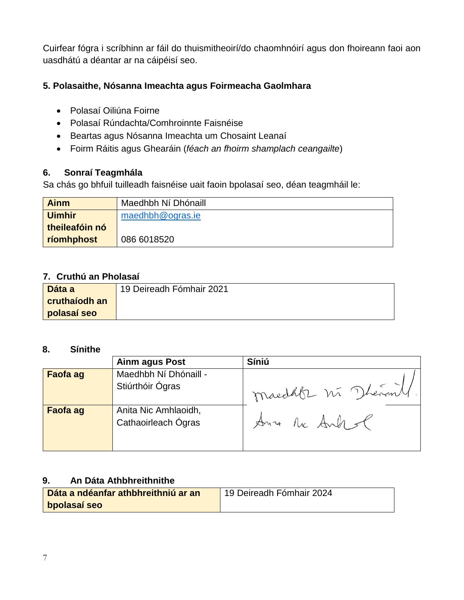Cuirfear fógra i scríbhinn ar fáil do thuismitheoirí/do chaomhnóirí agus don fhoireann faoi aon uasdhátú a déantar ar na cáipéisí seo.

### **5. Polasaithe, Nósanna Imeachta agus Foirmeacha Gaolmhara**

- Polasaí Oiliúna Foirne
- Polasaí Rúndachta/Comhroinnte Faisnéise
- Beartas agus Nósanna Imeachta um Chosaint Leanaí
- Foirm Ráitis agus Ghearáin (*féach an fhoirm shamplach ceangailte*)

# **6. Sonraí Teagmhála**

Sa chás go bhfuil tuilleadh faisnéise uait faoin bpolasaí seo, déan teagmháil le:

| <b>Ainm</b>    | Maedhbh Ní Dhónaill |
|----------------|---------------------|
| <b>Uimhir</b>  | maedhbh@ogras.ie    |
| theileafóin nó |                     |
| ríomhphost     | 086 6018520         |

# **7. Cruthú an Pholasaí**

| Dáta a        | 19 Deireadh Fómhair 2021 |
|---------------|--------------------------|
| cruthaíodh an |                          |
| polasaí seo   |                          |

#### **8. Sínithe**

|          | <b>Ainm agus Post</b>                       | <b>Síniú</b>       |
|----------|---------------------------------------------|--------------------|
| Faofa ag | Maedhbh Ní Dhónaill -<br>Stiúrthóir Ógras   |                    |
|          |                                             | maedate ni Thérent |
| Faofa ag | Anita Nic Amhlaoidh,<br>Cathaoirleach Ógras | Aris Mc And SP     |
|          |                                             |                    |

# **9. An Dáta Athbhreithnithe**

| Dáta a ndéanfar athbhreithniú ar an | 19 Deireadh Fómhair 2024 |
|-------------------------------------|--------------------------|
| bpolasaí seo                        |                          |